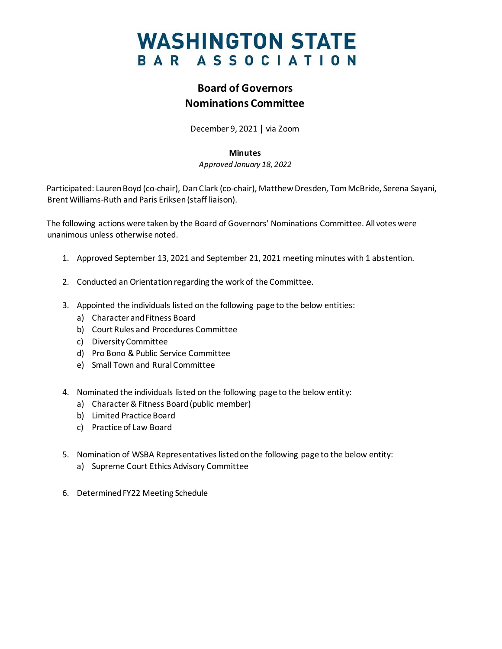# **WASHINGTON STATE** BAR ASSOCIATION

## **Board of Governors Nominations Committee**

December 9, 2021 │ via Zoom

### **Minutes**

*Approved January 18, 2022*

Participated: Lauren Boyd (co-chair), Dan Clark (co-chair), Matthew Dresden, Tom McBride, Serena Sayani, Brent Williams-Ruth and Paris Eriksen(staff liaison).

The following actions were taken by the Board of Governors' Nominations Committee. All votes were unanimous unless otherwise noted.

- 1. Approved September 13, 2021 and September 21, 2021 meeting minutes with 1 abstention.
- 2. Conducted an Orientation regarding the work of the Committee.
- 3. Appointed the individuals listed on the following page to the below entities:
	- a) Character and Fitness Board
	- b) Court Rules and Procedures Committee
	- c) Diversity Committee
	- d) Pro Bono & Public Service Committee
	- e) Small Town and Rural Committee
- 4. Nominated the individuals listed on the following page to the below entity:
	- a) Character & Fitness Board(public member)
	- b) Limited Practice Board
	- c) Practice of Law Board
- 5. Nomination of WSBA Representatives listed on the following page to the below entity:
	- a) Supreme Court Ethics Advisory Committee
- 6. Determined FY22 Meeting Schedule